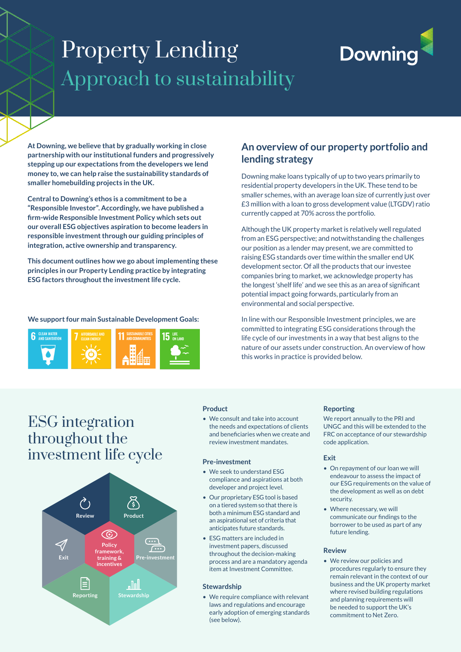# Property Lending Approach to sustainability



**At Downing, we believe that by gradually working in close partnership with our institutional funders and progressively stepping up our expectations from the developers we lend money to, we can help raise the sustainability standards of smaller homebuilding projects in the UK.** 

**Central to Downing's ethos is a commitment to be a "Responsible Investor". Accordingly, we have published a firm-wide Responsible Investment Policy which sets out our overall ESG objectives aspiration to become leaders in responsible investment through our guiding principles of integration, active ownership and transparency.** 

**This document outlines how we go about implementing these principles in our Property Lending practice by integrating ESG factors throughout the investment life cycle.**

### **We support four main Sustainable Development Goals:**



### **An overview of our property portfolio and lending strategy**

Downing make loans typically of up to two years primarily to residential property developers in the UK. These tend to be smaller schemes, with an average loan size of currently just over £3 million with a loan to gross development value (LTGDV) ratio currently capped at 70% across the portfolio.

Although the UK property market is relatively well regulated from an ESG perspective; and notwithstanding the challenges our position as a lender may present, we are committed to raising ESG standards over time within the smaller end UK development sector. Of all the products that our investee companies bring to market, we acknowledge property has the longest 'shelf life' and we see this as an area of significant potential impact going forwards, particularly from an environmental and social perspective.

In line with our Responsible Investment principles, we are committed to integrating ESG considerations through the life cycle of our investments in a way that best aligns to the nature of our assets under construction. An overview of how this works in practice is provided below.

## ESG integration throughout the investment life cycle



### **Product**

• We consult and take into account the needs and expectations of clients and beneficiaries when we create and review investment mandates.

### **Pre-investment**

- We seek to understand ESG compliance and aspirations at both developer and project level.
- Our proprietary ESG tool is based on a tiered system so that there is both a minimum ESG standard and an aspirational set of criteria that anticipates future standards.
- ESG matters are included in investment papers, discussed throughout the decision-making process and are a mandatory agenda item at Investment Committee.

### **Stewardship**

• We require compliance with relevant laws and regulations and encourage early adoption of emerging standards (see below).

#### **Reporting**

We report annually to the PRI and UNGC and this will be extended to the FRC on acceptance of our stewardship code application.

### **Exit**

- On repayment of our loan we will endeavour to assess the impact of our ESG requirements on the value of the development as well as on debt security.
- Where necessary, we will communicate our findings to the borrower to be used as part of any future lending.

### **Review**

• We review our policies and procedures regularly to ensure they remain relevant in the context of our business and the UK property market where revised building regulations and planning requirements will be needed to support the UK's commitment to Net Zero.